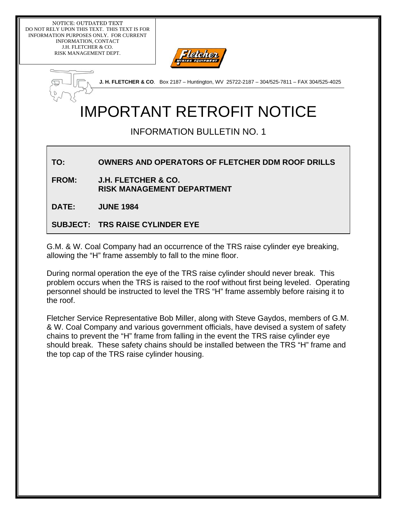NOTICE: OUTDATED TEXT DO NOT RELY UPON THIS TEXT. THIS TEXT IS FOR INFORMATION PURPOSES ONLY. FOR CURRENT INFORMATION, CONTACT J.H. FLETCHER & CO. RISK MANAGEMENT DEPT.



**J. H. FLETCHER & CO**. Box 2187 – Huntington, WV 25722-2187 – 304/525-7811 – FAX 304/525-4025

## IMPORTANT RETROFIT NOTICE

## INFORMATION BULLETIN NO. 1

## **TO: OWNERS AND OPERATORS OF FLETCHER DDM ROOF DRILLS**

**FROM: J.H. FLETCHER & CO. RISK MANAGEMENT DEPARTMENT** 

**DATE: JUNE 1984**

**SUBJECT: TRS RAISE CYLINDER EYE** 

G.M. & W. Coal Company had an occurrence of the TRS raise cylinder eye breaking, allowing the "H" frame assembly to fall to the mine floor.

During normal operation the eye of the TRS raise cylinder should never break. This problem occurs when the TRS is raised to the roof without first being leveled. Operating personnel should be instructed to level the TRS "H" frame assembly before raising it to the roof.

Fletcher Service Representative Bob Miller, along with Steve Gaydos, members of G.M. & W. Coal Company and various government officials, have devised a system of safety chains to prevent the "H" frame from falling in the event the TRS raise cylinder eye should break. These safety chains should be installed between the TRS "H" frame and the top cap of the TRS raise cylinder housing.